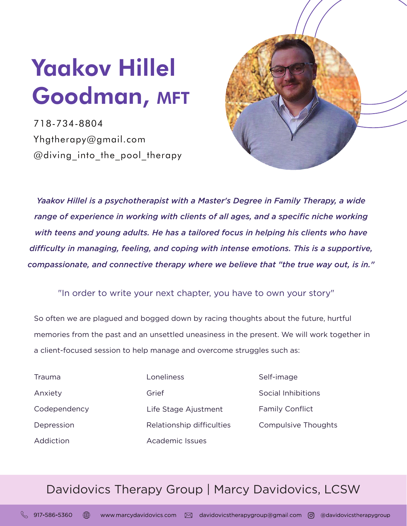## Yaakov Hillel Goodman, MFT

718-734-8804 Yhgtherapy@gmail.com @diving into the pool therapy



*Yaakov Hillel is a psychotherapist with a Master's Degree in Family Therapy, a wide range of experience in working with clients of all ages, and a specific niche working with teens and young adults. He has a tailored focus in helping his clients who have difficulty in managing, feeling, and coping with intense emotions. This is a supportive, compassionate, and connective therapy where we believe that "the true way out, is in."* 

## "In order to write your next chapter, you have to own your story"

So often we are plagued and bogged down by racing thoughts about the future, hurtful memories from the past and an unsettled uneasiness in the present. We will work together in a client-focused session to help manage and overcome struggles such as:

Trauma Anxiety **Codependency** Depression **Addiction** 

Life Stage Ajustment Loneliness Grief Relationship difficulties Academic Issues

Self-image Social Inhibitions Family Conflict Compulsive Thoughts

## Davidovics Therapy Group | Marcy Davidovics, LCSW